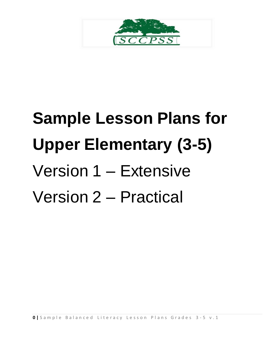

# **Sample Lesson Plans for Upper Elementary (3-5)** Version 1 – Extensive Version 2 – Practical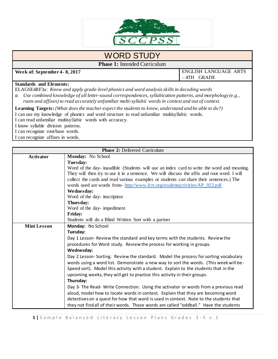

## WORD STUDY

**Phase 1:** Intended Curriculum

**Week of: September 4- 8, 2017** ENGLISH LANGUAGE ARTS – 4TH GRADE

#### **Standards and Elements:**

ELAGSE4RF3a: *Know and apply grade-level phonics and word analysis skills in decoding words*

*a. Use combined knowledge of all letter-sound correspondences, syllabication patterns, and morphology (e.g., roots and affixes) to read accurately unfamiliar multi-syllabic words in context and out of context.*

**Learning Targets:** *(What does the teacher expect the students to know, understand and be able to do?)* I can use my knowledge of phonics and word structure to read unfamiliar multisyllabic words. I can read unfamiliar multisyllabic words with accuracy.

I know syllable division patterns.

I can recognize root/base words.

I can recognize affixes in words.

|                    | <b>Phase 2: Delivered Curriculum</b>                                                        |  |  |  |  |
|--------------------|---------------------------------------------------------------------------------------------|--|--|--|--|
| <b>Activator</b>   | Monday: No School                                                                           |  |  |  |  |
|                    | Tuesday:                                                                                    |  |  |  |  |
|                    | Word of the day- inaudible (Students will use an index card to write the word and meaning.  |  |  |  |  |
|                    | They will then try to use it in a sentence. We will discuss the affix and root word. I will |  |  |  |  |
|                    | collect the cards and read various examples or students can share their sentences.) The     |  |  |  |  |
|                    | words used are words from-http://www.fcrr.org/studentactivities/AP_022.pdf                  |  |  |  |  |
|                    | Wednesday:                                                                                  |  |  |  |  |
|                    | Word of the day-inscription                                                                 |  |  |  |  |
|                    | Thursday:                                                                                   |  |  |  |  |
|                    | Word of the day-impediment                                                                  |  |  |  |  |
|                    | <b>Friday:</b>                                                                              |  |  |  |  |
|                    | Students will do a Blind Written Sort with a partner                                        |  |  |  |  |
| <b>Mini Lesson</b> | Monday: No School                                                                           |  |  |  |  |
|                    | Tuesday:                                                                                    |  |  |  |  |
|                    | Day 1 Lesson- Review the standard and key terms with the students. Review the               |  |  |  |  |
|                    | procedures for Word study. Review the process for working in groups.                        |  |  |  |  |
|                    | Wednesday:                                                                                  |  |  |  |  |
|                    | Day 2 Lesson- Sorting. Review the standard. Model the process for sorting vocabulary        |  |  |  |  |
|                    | words using a word list. Demonstrate a new way to sort the words. (This week will be-       |  |  |  |  |
|                    | Speed sort). Model this activity with a student. Explain to the students that in the        |  |  |  |  |
|                    | upcoming weeks, they will get to practice this activity in their groups.                    |  |  |  |  |
|                    | Thursday:                                                                                   |  |  |  |  |
|                    | Day 3- The Read- Write Connection. Using the activator or words from a previous read        |  |  |  |  |
|                    | aloud, model how to locate words in context. Explain that they are becoming word            |  |  |  |  |
|                    | detectives on a quest for how that word is used in context. Note to the students that       |  |  |  |  |
|                    | they not find all of their words. Those words are called "oddball." Have the students       |  |  |  |  |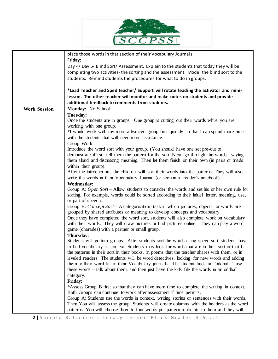

|                     | place those words in that section of their Vocabulary Journals.                               |  |  |
|---------------------|-----------------------------------------------------------------------------------------------|--|--|
|                     | Friday:                                                                                       |  |  |
|                     | Day 4/ Day 5- Blind Sort/ Assessment. Explain to the students that today they will be         |  |  |
|                     | completing two activities- the sorting and the assessment. Model the blind sort to the        |  |  |
|                     | students. Remind students the procedures for what to do in groups.                            |  |  |
|                     |                                                                                               |  |  |
|                     | *Lead Teacher and Sped teacher/ Support will rotate leading the activator and mini-           |  |  |
|                     | lesson. The other teacher will monitor and make notes on students and provide                 |  |  |
|                     | additional feedback to comments from students.                                                |  |  |
| <b>Work Session</b> | Monday: No School                                                                             |  |  |
|                     | Tuesday:                                                                                      |  |  |
|                     | Once the students are in groups. One group is cutting out their words while you are           |  |  |
|                     | working with one group.                                                                       |  |  |
|                     | *I would work with my more advanced group first quickly so that I can spend more time         |  |  |
|                     | with the students that will need more assistance.                                             |  |  |
|                     | Group Work:                                                                                   |  |  |
|                     | Introduce the word sort with your group. (You should have one set pre-cut to                  |  |  |
|                     | demonstrate.)First, tell them the pattern for the sort. Next, go through the words - saying   |  |  |
|                     | them aloud and discussing meaning. Then let them finish on their own (in pairs or triads      |  |  |
|                     | within their group).                                                                          |  |  |
|                     | After the introduction, the children will sort their words into the patterns. They will also  |  |  |
|                     | write the words in their Vocabulary Journal (or section in reader's notebook).                |  |  |
|                     | Wednesday:                                                                                    |  |  |
|                     | Group A: Open Sort – Allow students to consider the words and set his or her own rule for     |  |  |
|                     | sorting. For example, words could be sorted according to their initial letter, meaning, use,  |  |  |
|                     | or part of speech.                                                                            |  |  |
|                     | Group B: Concept Sort – A categorization task in which pictures, objects, or words are        |  |  |
|                     | grouped by shared attributes or meaning to develop concepts and vocabulary.                   |  |  |
|                     | Once they have completed the word sort, students will also complete work on vocabulary        |  |  |
|                     | with their words. They will draw pictures or find pictures online. They can play a word       |  |  |
|                     | game (charades) with a partner or small group.                                                |  |  |
|                     | Thursday:                                                                                     |  |  |
|                     | Students will go into groups. After students sort the words using speed sort, students have   |  |  |
|                     | to find vocabulary in context. Students may look for words that are in their sort or that fit |  |  |
|                     | the patterns in their sort in their books, in poems that the teacher shares with them, or in  |  |  |
|                     |                                                                                               |  |  |
|                     | leveled readers. The students will be word detectives, looking for new words and adding       |  |  |
|                     | them to their word list in their Vocabulary journals. If a student finds an "oddball," use    |  |  |
|                     | these words - talk about them, and then just have the kids file the words in an oddball       |  |  |
|                     | category.                                                                                     |  |  |
|                     | Friday:                                                                                       |  |  |
|                     | *Assess Group B first so that they can have more time to complete the writing in context.     |  |  |
|                     | Both Groups can continue to work after assessment if time permits.                            |  |  |
|                     | Group A: Students use the words in context, writing stories or sentences with their words.    |  |  |
|                     | Then You will assess the group. Students will create columns with the headers as the word     |  |  |
|                     | patterns. You will choose three to four words per pattern to dictate to them and they will    |  |  |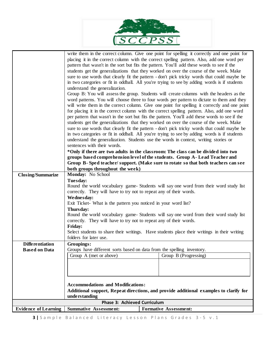

|                             | write them in the correct column. Give one point for spelling it correctly and one point for                                                                    |                              |  |
|-----------------------------|-----------------------------------------------------------------------------------------------------------------------------------------------------------------|------------------------------|--|
|                             | placing it in the correct column with the correct spelling pattern. Also, add one word per                                                                      |                              |  |
|                             | pattern that wasn't in the sort but fits the pattern. You'll add these words to see if the                                                                      |                              |  |
|                             | students get the generalizations that they worked on over the course of the week. Make                                                                          |                              |  |
|                             | sure to use words that clearly fit the pattern - don't pick tricky words that could maybe be                                                                    |                              |  |
|                             | in two categories or fit in oddball. All you're trying to see by adding words is if students                                                                    |                              |  |
|                             | understand the generalization.                                                                                                                                  |                              |  |
|                             | Group B: You will assess the group. Students will create columns with the headers as the                                                                        |                              |  |
|                             | word patterns. You will choose three to four words per pattern to dictate to them and they                                                                      |                              |  |
|                             | will write them in the correct column. Give one point for spelling it correctly and one point                                                                   |                              |  |
|                             | for placing it in the correct column with the correct spelling pattern. Also, add one word                                                                      |                              |  |
|                             | per pattern that wasn't in the sort but fits the pattern. You'll add these words to see if the                                                                  |                              |  |
|                             | students get the generalizations that they worked on over the course of the week. Make                                                                          |                              |  |
|                             | sure to use words that clearly fit the pattern - don't pick tricky words that could maybe be                                                                    |                              |  |
|                             | in two categories or fit in oddball. All you're trying to see by adding words is if students                                                                    |                              |  |
|                             | understand the generalization. Students use the words in context, writing stories or                                                                            |                              |  |
|                             | sentences with their words.                                                                                                                                     |                              |  |
|                             |                                                                                                                                                                 |                              |  |
|                             | *Only if there are two adults in the classroom: The class can be divided into two<br>groups based comprehension level of the students. Group A-Lead Teacher and |                              |  |
|                             | Group B-Sped teacher/support. (Make sure to rotate so that both teachers can see                                                                                |                              |  |
|                             | both groups throughout the week)                                                                                                                                |                              |  |
| <b>Closing/Summarize</b>    | Monday: No School                                                                                                                                               |                              |  |
|                             | Tuesday:                                                                                                                                                        |                              |  |
|                             | Round the world vocabulary game- Students will say one word from their word study list                                                                          |                              |  |
|                             | correctly. They will have to try not to repeat any of their words.                                                                                              |                              |  |
|                             | We dnesday:                                                                                                                                                     |                              |  |
|                             | Exit Ticket- What is the pattern you noticed in your word list?                                                                                                 |                              |  |
|                             | Thursday:                                                                                                                                                       |                              |  |
|                             | Round the world vocabulary game- Students will say one word from their word study list                                                                          |                              |  |
|                             | correctly. They will have to try not to repeat any of their words.                                                                                              |                              |  |
|                             | Friday:                                                                                                                                                         |                              |  |
|                             | Select students to share their writings. Have students place their writings in their writing                                                                    |                              |  |
|                             | folders for later use.                                                                                                                                          |                              |  |
| <b>Differentiation</b>      | Groupings:                                                                                                                                                      |                              |  |
| <b>Based on Data</b>        | Groups have different sorts based on data from the spelling inventory.                                                                                          |                              |  |
|                             | Group A (met or above)                                                                                                                                          | Group B (Progressing)        |  |
|                             |                                                                                                                                                                 |                              |  |
|                             |                                                                                                                                                                 |                              |  |
|                             |                                                                                                                                                                 |                              |  |
|                             | <b>Accommodations and Modifications:</b>                                                                                                                        |                              |  |
|                             | Additional support, Repeat directions, and provide additional examples to clarify for                                                                           |                              |  |
|                             | understanding                                                                                                                                                   |                              |  |
|                             | <b>Phase 3: Achieved Curriculum</b>                                                                                                                             |                              |  |
| <b>Evidence of Learning</b> | <b>Summative Assessment:</b>                                                                                                                                    | <b>Formative Assessment:</b> |  |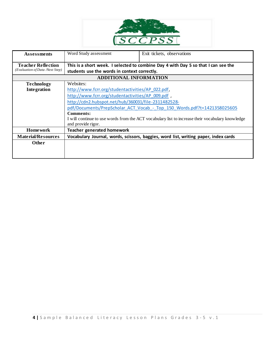

| <b>Assessments</b>                                           | Word Study assessment                                                                                                              | Exit tickets, observations |  |  |
|--------------------------------------------------------------|------------------------------------------------------------------------------------------------------------------------------------|----------------------------|--|--|
| <b>Teacher Reflection</b><br>(Evaluation of Data /Next Step) | This is a short week. I selected to combine Day 4 with Day 5 so that I can see the<br>students use the words in context correctly. |                            |  |  |
|                                                              | <b>ADDITIONAL INFORMATION</b>                                                                                                      |                            |  |  |
| <b>Technology</b>                                            | Websites:                                                                                                                          |                            |  |  |
| Integration                                                  | http://www.fcrr.org/studentactivities/AP 022.pdf,                                                                                  |                            |  |  |
|                                                              | http://www.fcrr.org/studentactivities/AP 009.pdf                                                                                   |                            |  |  |
|                                                              | http://cdn2.hubspot.net/hub/360031/file-2311482528-                                                                                |                            |  |  |
|                                                              | pdf/Documents/PrepScholar ACT Vocab - Top 150 Words.pdf?t=1421358025605                                                            |                            |  |  |
|                                                              | <b>Comments:</b>                                                                                                                   |                            |  |  |
|                                                              | I will continue to use words from the ACT vocabulary list to increase their vocabulary knowledge                                   |                            |  |  |
|                                                              | and provide rigor.                                                                                                                 |                            |  |  |
| <b>Homework</b>                                              | <b>Teacher generated homework</b>                                                                                                  |                            |  |  |
| <b>Material/Resources</b>                                    | Vocabulary Journal, words, scissors, baggies, word list, writing paper, index cards                                                |                            |  |  |
| Other                                                        |                                                                                                                                    |                            |  |  |
|                                                              |                                                                                                                                    |                            |  |  |
|                                                              |                                                                                                                                    |                            |  |  |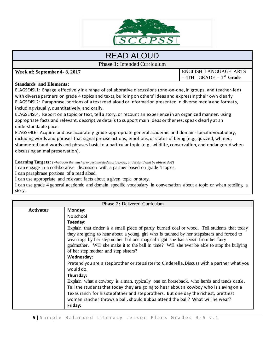

## READ ALOUD

**Phase 1:** Intended Curriculum

**Week of: September 4- 8, 2017** ENGLISH LANGUAGE ARTS

 $-4TH$  GRADE  $-1<sup>st</sup>$  Grade

#### **Standards and Elements:**

ELAGSE4SL1: Engage effectively in a range of collaborative discussions (one-on-one, in groups, and teacher-led) with diverse partners on grade 4 topics and texts, building on others' ideas and expressing their own clearly ELAGSE4SL2: Paraphrase portions of a text read aloud or information presented in diverse media and formats, including visually, quantitatively, and orally.

ELAGSE4SL4: Report on a topic or text, tell a story, or recount an experience in an organized manner, using appropriate facts and relevant, descriptive details to support main ideas or themes; speak clearl y at an understandable pace.

ELAGSE4L6: Acquire and use accurately grade-appropriate general academic and domain-specific vocabulary, including words and phrases that signal precise actions, emotions, or states of being (e.g., quizzed, whined, stammered) and words and phrases basic to a particular topic (e.g., wildlife, conservation, and endangered when discussing animal preservation).

**Learning Targets:** *(What does the teacher expect the students to know, understand and be able to do?)*

I can engage in a collaborative discussion with a partner based on grade 4 topics.

I can paraphrase portions of a read aloud.

I can use appropriate and relevant facts about a given topic or story.

I can use grade 4 general academic and domain specific vocabulary in conversation about a topic or when retelling a story.

| <b>Phase 2: Delivered Curriculum</b> |                                                                                                                                                                                                                                                                              |  |  |  |
|--------------------------------------|------------------------------------------------------------------------------------------------------------------------------------------------------------------------------------------------------------------------------------------------------------------------------|--|--|--|
| Activator                            | Monday:                                                                                                                                                                                                                                                                      |  |  |  |
|                                      | No school                                                                                                                                                                                                                                                                    |  |  |  |
|                                      | Tuesday:                                                                                                                                                                                                                                                                     |  |  |  |
|                                      | Explain that cinder is a small piece of partly burned coal or wood. Tell students that today                                                                                                                                                                                 |  |  |  |
|                                      | they are going to hear about a young girl who is taunted by her stepsisters and forced to<br>wear rags by her stepmother but one magical night she has a visit from her fairy<br>godmother. Will she make it to the ball in time? Will she ever be able to stop the bullying |  |  |  |
|                                      | of her step mother and step sisters?                                                                                                                                                                                                                                         |  |  |  |
|                                      | Wednesday:                                                                                                                                                                                                                                                                   |  |  |  |
|                                      | Pretend you are a stepbrother or stepsister to Cinderella. Discuss with a partner what you<br>would do.                                                                                                                                                                      |  |  |  |
|                                      | Thursday:                                                                                                                                                                                                                                                                    |  |  |  |
|                                      | Explain what a cowboy is a man, typically one on horseback, who herds and tends cattle.                                                                                                                                                                                      |  |  |  |
|                                      | Tell the students that today they are going to hear about a cowboy who is slaving on a                                                                                                                                                                                       |  |  |  |
|                                      | Texas ranch for his stepfather and stepbrothers. But one day the richest, prettiest                                                                                                                                                                                          |  |  |  |
|                                      | woman rancher throws a ball, should Bubba attend the ball? What will he wear?                                                                                                                                                                                                |  |  |  |
|                                      | Friday:                                                                                                                                                                                                                                                                      |  |  |  |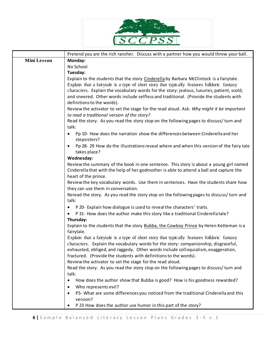

|                    | Pretend you are the rich rancher. Discuss with a partner how you would throw your ball.                             |  |  |  |
|--------------------|---------------------------------------------------------------------------------------------------------------------|--|--|--|
| <b>Mini Lesson</b> | Monday:                                                                                                             |  |  |  |
|                    | No School                                                                                                           |  |  |  |
|                    | Tuesday:                                                                                                            |  |  |  |
|                    | Explain to the students that the story Cinderella by Barbara McClintock is a fairytale.                             |  |  |  |
|                    | Explain that a fairytale is a type of short story that typically features folkloric fantasy                         |  |  |  |
|                    | characters. Explain the vocabulary words for the story: jealous, luxuries, patient, scold,                          |  |  |  |
|                    | and sneered. Other words include selfless and traditional. (Provide the students with                               |  |  |  |
|                    | definitions to the words).                                                                                          |  |  |  |
|                    | Review the activator to set the stage for the read aloud. Ask: Why might it be important                            |  |  |  |
|                    | to read a traditional version of the story?                                                                         |  |  |  |
|                    | Read the story. As you read the story stop on the following pages to discuss/turn and<br>talk:                      |  |  |  |
|                    | Pp 10- How does the narration show the differences between Cinderella and her<br>$\bullet$                          |  |  |  |
|                    | stepsisters?                                                                                                        |  |  |  |
|                    | Pp 28-29 How do the illustrations reveal where and when this version of the fairy tale<br>$\bullet$<br>takes place? |  |  |  |
|                    | Wednesday:                                                                                                          |  |  |  |
|                    | Review the summary of the book in one sentence. This story is about a young girl named                              |  |  |  |
|                    | Cinderella that with the help of her godmother is able to attend a ball and capture the                             |  |  |  |
|                    | heart of the prince.                                                                                                |  |  |  |
|                    | Review the key vocabulary words. Use them in sentences. Have the students share how                                 |  |  |  |
|                    | they can use them in conversation.                                                                                  |  |  |  |
|                    | Reread the story. As you read the story stop on the following pages to discuss/turn and                             |  |  |  |
|                    | talk:                                                                                                               |  |  |  |
|                    | P 20- Explain how dialogue is used to reveal the characters' traits.<br>$\bullet$                                   |  |  |  |
|                    | P 31- How does the author make this story like a traditional Cinderella tale?<br>٠                                  |  |  |  |
|                    | Thursday:                                                                                                           |  |  |  |
|                    | Explain to the students that the story Bubba, the Cowboy Prince by Helen Ketteman is a<br>fairytale.                |  |  |  |
|                    | Explain that a fairytale is a type of short story that typically features folkloric fantasy                         |  |  |  |
|                    | characters. Explain the vocabulary words for the story: companionship, disgraceful,                                 |  |  |  |
|                    | exhausted, obliged, and raggedy. Other words include colloquialism, exaggeration,                                   |  |  |  |
|                    | fractured. (Provide the students with definitions to the words).                                                    |  |  |  |
|                    | Review the activator to set the stage for the read aloud.                                                           |  |  |  |
|                    | Read the story. As you read the story stop on the following pages to discuss/turn and                               |  |  |  |
|                    | talk:                                                                                                               |  |  |  |
|                    | How does the author show that Bubba is good? How is his goodness rewarded?<br>٠                                     |  |  |  |
|                    | Who represents evil?<br>$\bullet$                                                                                   |  |  |  |
|                    | P5- What are some differences you noticed from the traditional Cinderella and this<br>$\bullet$                     |  |  |  |
|                    | version?                                                                                                            |  |  |  |
|                    | P 23 How does the author use humor in this part of the story?<br>$\bullet$                                          |  |  |  |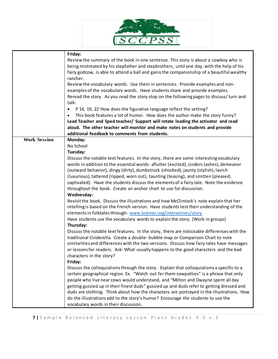

|                     | Friday:                                                                                    |  |  |
|---------------------|--------------------------------------------------------------------------------------------|--|--|
|                     | Review the summary of the book in one sentence. This story is about a cowboy who is        |  |  |
|                     | being mistreated by his stepfather and stepbrothers, until one day, with the help of his   |  |  |
|                     | fairy godcow, is able to attend a ball and gains the companionship of a beautiful wealthy  |  |  |
|                     | rancher.                                                                                   |  |  |
|                     | Review the vocabulary words. Use them in sentences. Provide examples and non-              |  |  |
|                     | examples of the vocabulary words. Have students share and provide examples.                |  |  |
|                     | Reread the story. As you read the story stop on the following pages to discuss/turn and    |  |  |
|                     | talk:                                                                                      |  |  |
|                     | P 14, 19, 22 How does the figurative language reflect the setting?<br>$\bullet$            |  |  |
|                     | This book features a lot of humor. How does the author make the story funny?               |  |  |
|                     | Lead Teacher and Sped teacher/ Support will rotate leading the activator and read          |  |  |
|                     | aloud. The other teacher will monitor and make notes on students and provide               |  |  |
|                     | additional feedback to comments from students.                                             |  |  |
| <b>Work Session</b> | Monday:                                                                                    |  |  |
|                     | No School                                                                                  |  |  |
|                     | Tuesday:                                                                                   |  |  |
|                     | Discuss the notable text features. In the story, there are some interesting vocabulary     |  |  |
|                     | words in addition to the essential words- aflutter (excited), cinders (ashes), demeanor    |  |  |
|                     | (outward behavior), dingy (dirty), dumbstruck (shocked), jaunty (stylish), lavish          |  |  |
|                     | (luxurious), tattered (ripped, worn out), taunting (teasing), and smitten (pleased,        |  |  |
|                     |                                                                                            |  |  |
|                     | captivated). Have the students discuss the elements of a fairy tale. Note the evidence     |  |  |
|                     | throughout the book. Create an anchor chart to use for discussion.                         |  |  |
|                     | Wednesday:                                                                                 |  |  |
|                     | Revisit the book. Discuss the illustrations and how McClintock's note explain that her     |  |  |
|                     | retelling is based on the French version. Have students test their understanding of the    |  |  |
|                     | elements in folktales through- www.learner.org/interactives/story                          |  |  |
|                     | Have students use the vocabulary words to explain the story. (Work in groups)              |  |  |
|                     | Thursday:                                                                                  |  |  |
|                     | Discuss the notable text features. In the story, there are noticeable differences with the |  |  |
|                     | traditional Cinderella. Create a double-bubble map or Comparison Chart to note             |  |  |
|                     | similarities and differences with the two versions. Discuss how fairy tales have messages  |  |  |
|                     | or lessons for readers. Ask: What usually happens to the good characters and the bad       |  |  |
|                     | characters in the story?                                                                   |  |  |
|                     | Friday:                                                                                    |  |  |
|                     | Discuss the colloquialisms through the story. Explain that colloquialisms a specific to a  |  |  |
|                     | certain geographical region. Ex. "Watch out fer them cowpatties" is a phrase that only     |  |  |
|                     |                                                                                            |  |  |
|                     | people who live near cows would understand, and "Milton and Dwayne spent all day           |  |  |
|                     | getting gussied up in their finest duds" gussied up and duds refer to getting dressed and  |  |  |
|                     | duds are clothing. Think about how the characters are portrayed in the illustrations. How  |  |  |
|                     | do the illustrations add to the story's humor? Encourage the students to use the           |  |  |
|                     | vocabulary words in their discussion.                                                      |  |  |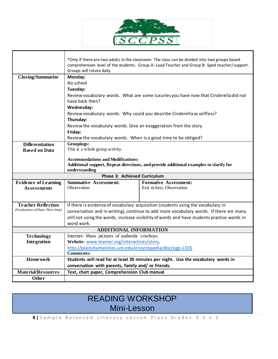

┑

|                                                   | Groups will rotate daily.                                                                                                         | *Only if there are two adults in the classroom: The class can be divided into two groups based<br>comprehension level of the students. Group A- Lead Teacher and Group B- Sped teacher/support. |  |  |
|---------------------------------------------------|-----------------------------------------------------------------------------------------------------------------------------------|-------------------------------------------------------------------------------------------------------------------------------------------------------------------------------------------------|--|--|
| <b>Closing/Summarize</b>                          | Monday:                                                                                                                           |                                                                                                                                                                                                 |  |  |
|                                                   | No school                                                                                                                         |                                                                                                                                                                                                 |  |  |
|                                                   | Tuesday:                                                                                                                          |                                                                                                                                                                                                 |  |  |
|                                                   | Review vocabulary words. What are some luxuries you have now that Cinderella did not<br>have back then?                           |                                                                                                                                                                                                 |  |  |
|                                                   | Wednesday:                                                                                                                        |                                                                                                                                                                                                 |  |  |
|                                                   | Review vocabulary words. Why could you describe Cinderella as selfless?<br>Thursday:                                              |                                                                                                                                                                                                 |  |  |
|                                                   | Review the vocabulary words. Give an exaggeration from the story.                                                                 |                                                                                                                                                                                                 |  |  |
|                                                   | Friday:                                                                                                                           |                                                                                                                                                                                                 |  |  |
|                                                   | Review the vocabulary words. When is a good time to be obliged?                                                                   |                                                                                                                                                                                                 |  |  |
| <b>Differentiation</b>                            | Groupings:                                                                                                                        |                                                                                                                                                                                                 |  |  |
| <b>Based on Data</b>                              | This is a whole group activity.                                                                                                   |                                                                                                                                                                                                 |  |  |
|                                                   | <b>Accommodations and Modifications:</b><br>Additional support, Repeat directions, and provide additional examples to clarify for |                                                                                                                                                                                                 |  |  |
| understanding                                     |                                                                                                                                   |                                                                                                                                                                                                 |  |  |
| <b>Phase 3: Achieved Curriculum</b>               |                                                                                                                                   |                                                                                                                                                                                                 |  |  |
| <b>Evidence of Learning</b><br><b>Assessments</b> | <b>Summative Assessment:</b><br>Observation                                                                                       | <b>Formative Assessment:</b><br>Exit tickets, Observation                                                                                                                                       |  |  |
|                                                   |                                                                                                                                   |                                                                                                                                                                                                 |  |  |
|                                                   |                                                                                                                                   |                                                                                                                                                                                                 |  |  |
| <b>Teacher Reflection</b>                         | If there is evidence of vocabulary acquisition (students using the vocabulary in                                                  |                                                                                                                                                                                                 |  |  |
| (Evaluation of Data /Next Step)                   | conversation and in writing), continue to add more vocabulary words. If there are many                                            |                                                                                                                                                                                                 |  |  |
|                                                   | still not using the words, increase visibility of words and have students practice words in                                       |                                                                                                                                                                                                 |  |  |
|                                                   | word work.                                                                                                                        |                                                                                                                                                                                                 |  |  |
|                                                   | <b>ADDITIONAL INFORMATION</b>                                                                                                     |                                                                                                                                                                                                 |  |  |
| <b>Technology</b>                                 | Internet- Show pictures of authentic cowboys.                                                                                     |                                                                                                                                                                                                 |  |  |
| Integration                                       | Website-www.learner.org/interactives/story,                                                                                       |                                                                                                                                                                                                 |  |  |
|                                                   | http://plainshumanities.unl.edu/encyclopedia/doc/egp.ii.015                                                                       |                                                                                                                                                                                                 |  |  |
|                                                   | <b>Comments:</b>                                                                                                                  |                                                                                                                                                                                                 |  |  |
| <b>Homework</b>                                   |                                                                                                                                   | Students will read for at least 20 minutes per night. Use the vocabulary words in                                                                                                               |  |  |
|                                                   | conversation with parents, family and/ or friends.                                                                                |                                                                                                                                                                                                 |  |  |
| <b>Material/Resources</b>                         | Text, chart paper, Comprehension Club manual                                                                                      |                                                                                                                                                                                                 |  |  |
| Other                                             |                                                                                                                                   |                                                                                                                                                                                                 |  |  |

## READING WORKSHOP Mini-Lesson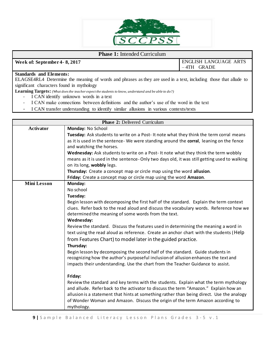

#### **Phase 1:** Intended Curriculum

**Week of: September 4- 8, 2017** ENGLISH LANGUAGE ARTS – 4TH GRADE

### **Standards and Elements:**

ELAGSE4RL4 Determine the meaning of words and phrases as they are used in a text, including those that allude to significant characters found in mythology

**Learning Targets:** *(What does the teacher expect the students to know, understand and be able to do?)*

- I CAN identify unknown words in a text
- I CAN make connections between definitions and the author's use of the word in the text
- I CAN transfer understanding to identify similar allusions in various contexts/texts

| <b>Phase 2: Delivered Curriculum</b> |                                                                                              |  |  |  |  |
|--------------------------------------|----------------------------------------------------------------------------------------------|--|--|--|--|
| <b>Activator</b>                     | Monday: No School                                                                            |  |  |  |  |
|                                      | Tuesday: Ask students to write on a Post-It note what they think the term corral means       |  |  |  |  |
|                                      | as it is used in the sentence- We were standing around the corral, leaning on the fence      |  |  |  |  |
|                                      | and watching the horses.                                                                     |  |  |  |  |
|                                      | Wednesday: Ask students to write on a Post-It note what they think the term wobbly           |  |  |  |  |
|                                      | means as it is used in the sentence-Only two days old, it was still getting used to walking  |  |  |  |  |
|                                      | on its long, wobbly legs.                                                                    |  |  |  |  |
|                                      | Thursday: Create a concept map or circle map using the word allusion.                        |  |  |  |  |
|                                      | Friday: Create a concept map or circle map using the word Amazon.                            |  |  |  |  |
| <b>Mini Lesson</b>                   | Monday:                                                                                      |  |  |  |  |
|                                      | No school                                                                                    |  |  |  |  |
|                                      | Tuesday:                                                                                     |  |  |  |  |
|                                      | Begin lesson with decomposing the first half of the standard. Explain the term context       |  |  |  |  |
|                                      | clues. Refer back to the read aloud and discuss the vocabulary words. Reference how we       |  |  |  |  |
|                                      | determined the meaning of some words from the text.                                          |  |  |  |  |
|                                      | <b>Wednesday:</b>                                                                            |  |  |  |  |
|                                      | Review the standard. Discuss the features used in determining the meaning a word in          |  |  |  |  |
|                                      | text using the read aloud as reference. Create an anchor chart with the students (Help       |  |  |  |  |
|                                      | from Features Chart) to model later in the guided practice.                                  |  |  |  |  |
|                                      | Thursday:                                                                                    |  |  |  |  |
|                                      | Begin lesson by decomposing the second half of the standard. Guide students in               |  |  |  |  |
|                                      | recognizing how the author's purposeful inclusion of allusion enhances the text and          |  |  |  |  |
|                                      | impacts their understanding. Use the chart from the Teacher Guidance to assist.              |  |  |  |  |
|                                      | Friday:                                                                                      |  |  |  |  |
|                                      | Review the standard and key terms with the students. Explain what the term mythology         |  |  |  |  |
|                                      | and allude. Referback to the activator to discuss the term "Amazon." Explain how an          |  |  |  |  |
|                                      | allusion is a statement that hints at something rather than being direct. Use the analogy    |  |  |  |  |
|                                      |                                                                                              |  |  |  |  |
|                                      |                                                                                              |  |  |  |  |
|                                      | of Wonder Woman and Amazon. Discuss the origin of the term Amazon according to<br>mythology. |  |  |  |  |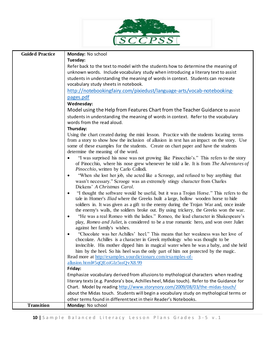

| <b>Guided Practice</b> | Monday: No school                                                                                                                                                            |  |  |  |
|------------------------|------------------------------------------------------------------------------------------------------------------------------------------------------------------------------|--|--|--|
|                        | Tuesday:                                                                                                                                                                     |  |  |  |
|                        | Refer back to the text to model with the students how to determine the meaning of                                                                                            |  |  |  |
|                        | unknown words. Include vocabulary study when introducing a literary text to assist                                                                                           |  |  |  |
|                        | students in understanding the meaning of words in context. Students can recreate                                                                                             |  |  |  |
|                        | vocabulary study sheets in notebook.                                                                                                                                         |  |  |  |
|                        | http://notebookingfairy.com/pixiedust/language-arts/vocab-notebooking-                                                                                                       |  |  |  |
|                        | pages.pdf                                                                                                                                                                    |  |  |  |
|                        | Wednesday:                                                                                                                                                                   |  |  |  |
|                        | Model using the Help from Features Chart from the Teacher Guidance to assist                                                                                                 |  |  |  |
|                        | students in understanding the meaning of words in context. Refer to the vocabulary<br>words from the read aloud.                                                             |  |  |  |
|                        | Thursday:                                                                                                                                                                    |  |  |  |
|                        | Using the chart created during the mini lesson. Practice with the students locating terms                                                                                    |  |  |  |
|                        | from a story to show how the inclusion of allusion in text has an impact on the story. Use                                                                                   |  |  |  |
|                        | some of these examples for the students. Create on chart paper and have the students                                                                                         |  |  |  |
|                        | determine the meaning of the word.                                                                                                                                           |  |  |  |
|                        | "I was surprised his nose was not growing like Pinocchio's." This refers to the story                                                                                        |  |  |  |
|                        | of Pinocchio, where his nose grew whenever he told a lie. It is from The Adventures of<br>Pinocchio, written by Carlo Collodi.                                               |  |  |  |
|                        | "When she lost her job, she acted like a Scrooge, and refused to buy anything that                                                                                           |  |  |  |
|                        | wasn't necessary." Scrooge was an extremely stingy character from Charles                                                                                                    |  |  |  |
|                        | Dickens' A Christmas Carol.                                                                                                                                                  |  |  |  |
|                        | "I thought the software would be useful, but it was a Trojan Horse." This refers to the<br>tale in Homer's Iliad where the Greeks built a large, hollow wooden horse to hide |  |  |  |
|                        | soldiers in. It was given as a gift to the enemy during the Trojan War and, once inside                                                                                      |  |  |  |
|                        | the enemy's walls, the soldiers broke out. By using trickery, the Greeks won the war.                                                                                        |  |  |  |
|                        | "He was a real Romeo with the ladies." Romeo, the lead character in Shakespeare's<br>$\bullet$                                                                               |  |  |  |
|                        | play, Romeo and Juliet, is considered to be a true romantic hero, and won over Juliet                                                                                        |  |  |  |
|                        | against her family's wishes.                                                                                                                                                 |  |  |  |
|                        | "Chocolate was her Achilles' heel." This means that her weakness was her love of<br>$\bullet$                                                                                |  |  |  |
|                        | chocolate. Achilles is a character in Greek mythology who was thought to be                                                                                                  |  |  |  |
|                        | invincible. His mother dipped him in magical water when he was a baby, and she held                                                                                          |  |  |  |
|                        | him by the heel. So his heel was the only part of him not protected by the magic.<br>Read more at http://examples.yourdictionary.com/examples-of-                            |  |  |  |
|                        | allusion.html#5qQEoiGlz5ssQvX8.99                                                                                                                                            |  |  |  |
|                        | Friday:                                                                                                                                                                      |  |  |  |
|                        | Emphasize vocabulary derived from allusions to mythological characters when reading                                                                                          |  |  |  |
|                        | literary texts (e.g. Pandora's box, Achilles heel, Midas touch). Refer to the Guidance for                                                                                   |  |  |  |
|                        | Chart. Model by reading http://www.storynory.com/2009/08/03/the-midas-touch/                                                                                                 |  |  |  |
|                        | about the Midas touch. Students will begin a vocabulary study on mythological terms or                                                                                       |  |  |  |
|                        | other terms found in different text in their Reader's Notebooks.                                                                                                             |  |  |  |
| <b>Transition</b>      | Monday: No school                                                                                                                                                            |  |  |  |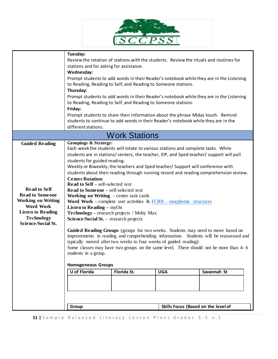

|                                               | Tuesday:<br>Review the rotation of stations with the students. Review the rituals and routines for                                                                          |                                                                                 |  |                                                                                       |  |
|-----------------------------------------------|-----------------------------------------------------------------------------------------------------------------------------------------------------------------------------|---------------------------------------------------------------------------------|--|---------------------------------------------------------------------------------------|--|
|                                               | stations and for asking for assistance.<br>Wednesday:<br>Prompt students to add words in their Reader's notebook while they are in the Listening                            |                                                                                 |  |                                                                                       |  |
|                                               |                                                                                                                                                                             |                                                                                 |  |                                                                                       |  |
|                                               |                                                                                                                                                                             |                                                                                 |  |                                                                                       |  |
|                                               | Thursday:                                                                                                                                                                   | to Reading, Reading to Self, and Reading to Someone stations.                   |  |                                                                                       |  |
|                                               | Prompt students to add words in their Reader's notebook while they are in the Listening                                                                                     |                                                                                 |  |                                                                                       |  |
|                                               | to Reading, Reading to Self, and Reading to Someone stations.<br>Friday:                                                                                                    |                                                                                 |  |                                                                                       |  |
|                                               |                                                                                                                                                                             |                                                                                 |  |                                                                                       |  |
|                                               | Prompt students to share their information about the phrase Midas touch. Remind                                                                                             |                                                                                 |  |                                                                                       |  |
|                                               | students to continue to add words in their Reader's notebook while they are in the                                                                                          |                                                                                 |  |                                                                                       |  |
|                                               | different stations.                                                                                                                                                         |                                                                                 |  |                                                                                       |  |
|                                               |                                                                                                                                                                             | <b>Work Stations</b>                                                            |  |                                                                                       |  |
| <b>Guided Reading</b>                         | <b>Groupings &amp; Strategy:</b>                                                                                                                                            |                                                                                 |  |                                                                                       |  |
|                                               | Each week the students will rotate to various stations and complete tasks. While<br>students are in stations/centers, the teacher, EIP, and Sped teacher/ support will pull |                                                                                 |  |                                                                                       |  |
|                                               | students for guided reading.                                                                                                                                                |                                                                                 |  |                                                                                       |  |
|                                               |                                                                                                                                                                             | Weekly or Biweekly, the teachers and Sped teacher/ Support will conference with |  |                                                                                       |  |
|                                               |                                                                                                                                                                             |                                                                                 |  | students about their reading through running record and reading comprehension review. |  |
|                                               | <b>Center Rotation:</b>                                                                                                                                                     |                                                                                 |  |                                                                                       |  |
| <b>Read to Self</b>                           | <b>Read to Self</b> – self-selected text<br>Read to Someone - self-selected text                                                                                            |                                                                                 |  |                                                                                       |  |
| <b>Read to Someone</b>                        | Working on Writing $-$ center task cards                                                                                                                                    |                                                                                 |  |                                                                                       |  |
| <b>Working on Writing</b>                     | Word Work – complete sort activities & $\frac{FCRR - morphemic \ structures}{}$                                                                                             |                                                                                 |  |                                                                                       |  |
| <b>Word Work</b>                              | <b>Listen to Reading – myOn</b>                                                                                                                                             |                                                                                 |  |                                                                                       |  |
| <b>Listen to Reading</b><br><b>Technology</b> | Technology – research projects / Moby Max                                                                                                                                   |                                                                                 |  |                                                                                       |  |
| <b>Science/Social St.</b>                     | Science/Social St. - research projects                                                                                                                                      |                                                                                 |  |                                                                                       |  |
|                                               | Guided Reading Groups (groups for two weeks. Students may need to move based on                                                                                             |                                                                                 |  |                                                                                       |  |
|                                               | improvements in reading and comprehending information. Students will be reassessed and                                                                                      |                                                                                 |  |                                                                                       |  |
|                                               | typically moved after two weeks to four weeks of guided reading):                                                                                                           |                                                                                 |  |                                                                                       |  |
|                                               | Some classes may have two groups on the same level. There should not be more than 4- 6                                                                                      |                                                                                 |  |                                                                                       |  |
|                                               | students in a group.                                                                                                                                                        |                                                                                 |  |                                                                                       |  |
|                                               | <b>Homogeneous Groups</b>                                                                                                                                                   |                                                                                 |  |                                                                                       |  |
|                                               | <b>U</b> of Florida<br>Florida St.<br>Savannah St<br><b>UGA</b>                                                                                                             |                                                                                 |  |                                                                                       |  |
|                                               |                                                                                                                                                                             |                                                                                 |  |                                                                                       |  |
|                                               |                                                                                                                                                                             |                                                                                 |  |                                                                                       |  |
|                                               |                                                                                                                                                                             |                                                                                 |  |                                                                                       |  |
|                                               |                                                                                                                                                                             |                                                                                 |  |                                                                                       |  |
|                                               | Group                                                                                                                                                                       |                                                                                 |  | Skills Focus (Based on the level of                                                   |  |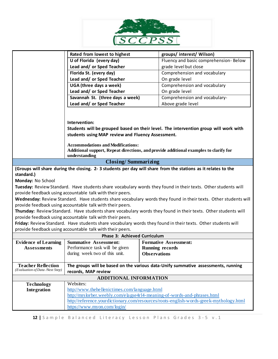

|                                                              | Rated from lowest to highest                                                                                    | groups/ interest/ Wilson)                                                                                     |  |  |
|--------------------------------------------------------------|-----------------------------------------------------------------------------------------------------------------|---------------------------------------------------------------------------------------------------------------|--|--|
|                                                              | U of Florida (every day)                                                                                        | Fluency and basic comprehension- Below                                                                        |  |  |
|                                                              | Lead and/ or Sped Teacher                                                                                       | grade level but close                                                                                         |  |  |
|                                                              | Florida St. (every day)                                                                                         | Comprehension and vocabulary                                                                                  |  |  |
|                                                              | Lead and/ or Sped Teacher                                                                                       | On grade level                                                                                                |  |  |
|                                                              | UGA (three days a week)                                                                                         | Comprehension and vocabulary                                                                                  |  |  |
|                                                              | Lead and/ or Sped Teacher                                                                                       | On grade level                                                                                                |  |  |
|                                                              | Savannah St. (three days a week)                                                                                | Comprehension and vocabulary-                                                                                 |  |  |
|                                                              | Lead and/ or Sped Teacher<br>Above grade level                                                                  |                                                                                                               |  |  |
|                                                              |                                                                                                                 |                                                                                                               |  |  |
|                                                              |                                                                                                                 |                                                                                                               |  |  |
|                                                              | Intervention:                                                                                                   |                                                                                                               |  |  |
|                                                              | Students will be grouped based on their level. The intervention group will work with                            |                                                                                                               |  |  |
|                                                              | students using MAP review and Fluency Assessment.                                                               |                                                                                                               |  |  |
|                                                              |                                                                                                                 |                                                                                                               |  |  |
|                                                              | <b>Accommodations and Modifications:</b>                                                                        |                                                                                                               |  |  |
|                                                              | Additional support, Repeat directions, and provide additional examples to clarify for<br>understanding          |                                                                                                               |  |  |
| <b>Closing/Summarizing</b>                                   |                                                                                                                 |                                                                                                               |  |  |
|                                                              |                                                                                                                 | (Groups will share during the closing. 2-3 students per day will share from the stations as it relates to the |  |  |
| standard.)                                                   |                                                                                                                 |                                                                                                               |  |  |
| Monday: No School                                            |                                                                                                                 |                                                                                                               |  |  |
|                                                              |                                                                                                                 | Tuesday: Review Standard. Have students share vocabulary words they found in their texts. Other students will |  |  |
|                                                              | provide feedback using accountable talk with their peers.                                                       |                                                                                                               |  |  |
|                                                              | Wednesday: Review Standard. Have students share vocabulary words they found in their texts. Other students will |                                                                                                               |  |  |
| provide feedback using accountable talk with their peers.    |                                                                                                                 |                                                                                                               |  |  |
|                                                              | Thursday: Review Standard. Have students share vocabulary words they found in their texts. Other students will  |                                                                                                               |  |  |
| provide feedback using accountable talk with their peers.    |                                                                                                                 |                                                                                                               |  |  |
|                                                              | Friday: Review Standard. Have students share vocabulary words they found in their texts. Other students will    |                                                                                                               |  |  |
|                                                              | provide feedback using accountable talk with their peers.                                                       |                                                                                                               |  |  |
| <b>Phase 3: Achieved Curriculum</b>                          |                                                                                                                 |                                                                                                               |  |  |
| <b>Evidence of Learning</b>                                  | <b>Summative Assessment:</b>                                                                                    | <b>Formative Assessment:</b>                                                                                  |  |  |
| <b>Assessments</b>                                           | Performance task will be given                                                                                  | <b>Running records</b>                                                                                        |  |  |
|                                                              | during week two of this unit.                                                                                   | <b>Observations</b>                                                                                           |  |  |
|                                                              |                                                                                                                 |                                                                                                               |  |  |
| <b>Teacher Reflection</b><br>(Evaluation of Data /Next Step) | The groups will be based on the various data-Unify summative assessments, running                               |                                                                                                               |  |  |
|                                                              | records, MAP review                                                                                             |                                                                                                               |  |  |
| <b>Technology</b>                                            | <b>ADDITIONAL INFORMATION</b><br>Websites:                                                                      |                                                                                                               |  |  |
| Integration                                                  | http://www.thehellenictimes.com/language.html                                                                   |                                                                                                               |  |  |
|                                                              |                                                                                                                 | http://mrslorber.weebly.com/elagse4rl4-meaning-of-words-and-phrases.html                                      |  |  |
|                                                              | http://reference.yourdictionary.com/resources/roots-english-words-greek-mythology.html                          |                                                                                                               |  |  |
|                                                              | https://www.myon.com/login/                                                                                     |                                                                                                               |  |  |
|                                                              |                                                                                                                 |                                                                                                               |  |  |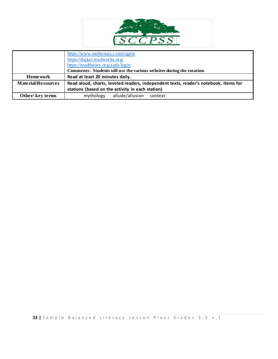

|                           | https://www.mobymax.com/signin<br>https://digital.readworks.org/<br>https://readtheory.org/auth/login                                    |  |  |  |
|---------------------------|------------------------------------------------------------------------------------------------------------------------------------------|--|--|--|
|                           | Comments: Students will use the various websites during the rotation.                                                                    |  |  |  |
| <b>Home work</b>          | Read at least 20 minutes daily.                                                                                                          |  |  |  |
| <b>Material/Resources</b> | Read aloud, charts, leveled readers, independent texts, reader's notebook, Items for<br>stations (based on the activity in each station) |  |  |  |
| Other/key terms           | allude/allusion<br>mythology<br>context                                                                                                  |  |  |  |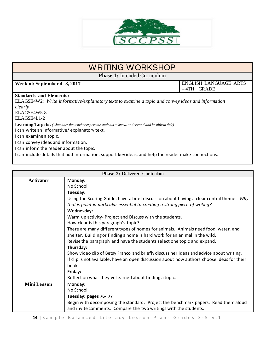

## WRITING WORKSHOP

**Phase 1:** Intended Curriculum

**Week of: September 4- 8, 2017** ENGLISH LANGUAGE ARTS – 4TH GRADE

#### **Standards and Elements:**

ELAGSE4W2: *Write informative/explanatory texts to examine a topic and convey ideas and information clearly* ELAGSE4W5-8 ELAGSE4L1-2 **Learning Targets:** *(What does the teacher expect the students to know, understand and be able to do?)* I can write an informative/ explanatory text. I can examine a topic. I can convey ideas and information.

I can inform the reader about the topic.

I can include details that add information, support key ideas, and help the reader make connections.

| <b>Phase 2: Delivered Curriculum</b> |                                                                                            |  |
|--------------------------------------|--------------------------------------------------------------------------------------------|--|
| <b>Activator</b>                     | Monday:                                                                                    |  |
|                                      | No School                                                                                  |  |
|                                      | Tuesday:                                                                                   |  |
|                                      | Using the Scoring Guide, have a brief discussion about having a clear central theme. Why   |  |
|                                      | that is point in particular essential to creating a strong piece of writing?               |  |
|                                      | Wednesday:                                                                                 |  |
|                                      | Warm up activity- Project and Discuss with the students.                                   |  |
|                                      | How clear is this paragraph's topic?                                                       |  |
|                                      | There are many different types of homes for animals. Animals need food, water, and         |  |
|                                      | shelter. Building or finding a home is hard work for an animal in the wild.                |  |
|                                      | Revise the paragraph and have the students select one topic and expand.                    |  |
|                                      | Thursday:                                                                                  |  |
|                                      | Show video clip of Betsy Franco and briefly discuss her ideas and advice about writing.    |  |
|                                      | If clip is not available, have an open discussion about how authors choose ideas for their |  |
|                                      | books.                                                                                     |  |
|                                      | Friday:                                                                                    |  |
|                                      | Reflect on what they've learned about finding a topic.                                     |  |
| <b>Mini Lesson</b>                   | Monday:                                                                                    |  |
|                                      | No School                                                                                  |  |
|                                      | Tuesday: pages 76-77                                                                       |  |
|                                      | Begin with decomposing the standard. Project the benchmark papers. Read them aloud         |  |
|                                      | and invite comments. Compare the two writings with the students.                           |  |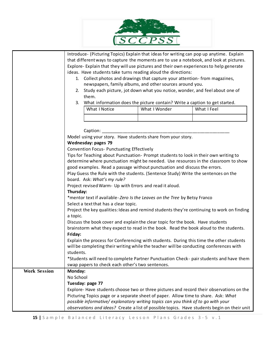

|                     | Introduce- (Picturing Topics) Explain that ideas for writing can pop up anytime. Explain                                                                                                       |                                                                                            |                                                                                    |                                                                                             |  |
|---------------------|------------------------------------------------------------------------------------------------------------------------------------------------------------------------------------------------|--------------------------------------------------------------------------------------------|------------------------------------------------------------------------------------|---------------------------------------------------------------------------------------------|--|
|                     | that different ways to capture the moments are to use a notebook, and look at pictures.                                                                                                        |                                                                                            |                                                                                    |                                                                                             |  |
|                     | Explore- Explain that they will use pictures and their own experiences to help generate                                                                                                        |                                                                                            |                                                                                    |                                                                                             |  |
|                     |                                                                                                                                                                                                |                                                                                            | ideas. Have students take turns reading aloud the directions:                      |                                                                                             |  |
|                     |                                                                                                                                                                                                |                                                                                            | 1. Collect photos and drawings that capture your attention-from magazines,         |                                                                                             |  |
|                     |                                                                                                                                                                                                |                                                                                            | newspapers, family albums, and other sources around you.                           |                                                                                             |  |
|                     |                                                                                                                                                                                                |                                                                                            |                                                                                    | 2. Study each picture, jot down what you notice, wonder, and feel about one of              |  |
|                     |                                                                                                                                                                                                | them.                                                                                      |                                                                                    |                                                                                             |  |
|                     | What information does the picture contain? Write a caption to get started.<br>3.                                                                                                               |                                                                                            |                                                                                    |                                                                                             |  |
|                     |                                                                                                                                                                                                | What I Notice                                                                              | What I Wonder                                                                      | What I Feel                                                                                 |  |
|                     |                                                                                                                                                                                                |                                                                                            |                                                                                    |                                                                                             |  |
|                     |                                                                                                                                                                                                |                                                                                            |                                                                                    |                                                                                             |  |
|                     |                                                                                                                                                                                                |                                                                                            |                                                                                    |                                                                                             |  |
|                     |                                                                                                                                                                                                | Caption:                                                                                   |                                                                                    |                                                                                             |  |
|                     |                                                                                                                                                                                                | Model using your story. Have students share from your story.                               |                                                                                    |                                                                                             |  |
|                     |                                                                                                                                                                                                | Wednesday: pages 79                                                                        |                                                                                    |                                                                                             |  |
|                     |                                                                                                                                                                                                | Convention Focus- Punctuating Effectively                                                  |                                                                                    |                                                                                             |  |
|                     |                                                                                                                                                                                                |                                                                                            |                                                                                    | Tips for Teaching about Punctuation- Prompt students to look in their own writing to        |  |
|                     | determine where punctuation might be needed. Use resources in the classroom to show                                                                                                            |                                                                                            |                                                                                    |                                                                                             |  |
|                     | good examples. Read a passage without punctuation and discuss the errors.<br>Play Guess the Rule with the students. (Sentence Study) Write the sentences on the<br>board. Ask: What's my rule? |                                                                                            |                                                                                    |                                                                                             |  |
|                     |                                                                                                                                                                                                |                                                                                            |                                                                                    |                                                                                             |  |
|                     |                                                                                                                                                                                                |                                                                                            |                                                                                    |                                                                                             |  |
|                     |                                                                                                                                                                                                | Project revised Warm- Up with Errors and read it aloud.                                    |                                                                                    |                                                                                             |  |
|                     |                                                                                                                                                                                                | Thursday:                                                                                  |                                                                                    |                                                                                             |  |
|                     | *mentor text if available-Zero Is the Leaves on the Tree by Betsy Franco                                                                                                                       |                                                                                            |                                                                                    |                                                                                             |  |
|                     | Select a text that has a clear topic.                                                                                                                                                          |                                                                                            |                                                                                    |                                                                                             |  |
|                     |                                                                                                                                                                                                | Project the key qualities: Ideas and remind students they're continuing to work on finding |                                                                                    |                                                                                             |  |
|                     | a topic.                                                                                                                                                                                       |                                                                                            |                                                                                    |                                                                                             |  |
|                     | Discuss the book cover and explain the clear topic for the book. Have students                                                                                                                 |                                                                                            |                                                                                    |                                                                                             |  |
|                     |                                                                                                                                                                                                | brainstorm what they expect to read in the book. Read the book aloud to the students.      |                                                                                    |                                                                                             |  |
|                     | Friday:                                                                                                                                                                                        |                                                                                            |                                                                                    |                                                                                             |  |
|                     |                                                                                                                                                                                                |                                                                                            |                                                                                    | Explain the process for Conferencing with students. During this time the other students     |  |
|                     |                                                                                                                                                                                                |                                                                                            |                                                                                    | will be completing their writing while the teacher will be conducting conferences with      |  |
|                     | students.                                                                                                                                                                                      |                                                                                            |                                                                                    |                                                                                             |  |
|                     |                                                                                                                                                                                                |                                                                                            |                                                                                    | *Students will need to complete Partner Punctuation Check- pair students and have them      |  |
|                     |                                                                                                                                                                                                | swap papers to check each other's two sentences.                                           |                                                                                    |                                                                                             |  |
| <b>Work Session</b> | Monday:                                                                                                                                                                                        |                                                                                            |                                                                                    |                                                                                             |  |
|                     | No School                                                                                                                                                                                      |                                                                                            |                                                                                    |                                                                                             |  |
|                     |                                                                                                                                                                                                | Tuesday: page 77                                                                           |                                                                                    |                                                                                             |  |
|                     |                                                                                                                                                                                                |                                                                                            |                                                                                    | Explore-Have students choose two or three pictures and record their observations on the     |  |
|                     |                                                                                                                                                                                                |                                                                                            | Picturing Topics page or a separate sheet of paper. Allow time to share. Ask: What |                                                                                             |  |
|                     |                                                                                                                                                                                                |                                                                                            | possible informative/ explanatory writing topics can you think of to go with your  |                                                                                             |  |
|                     |                                                                                                                                                                                                |                                                                                            |                                                                                    |                                                                                             |  |
|                     |                                                                                                                                                                                                |                                                                                            |                                                                                    | observations and ideas? Create a list of possible topics. Have students begin on their unit |  |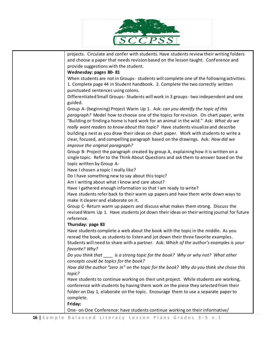

| projects. Circulate and confer with students. Have students review their writing folders        |
|-------------------------------------------------------------------------------------------------|
| and choose a paper that needs revision based on the lesson taught. Conference and               |
| provide suggestions with the student.                                                           |
| Wednesday: pages 80-81                                                                          |
| When students are not in Groups- students will complete one of the following activities.        |
| 1. Complete page 44 in Student handbook. 2. Complete the two correctly written                  |
| punctuated sentences using colons.                                                              |
| Differentiated Small Groups- Students will work in 3 groups- two independent and one<br>guided. |
| Group A- (beginning) Project Warm Up 1. Ask: can you identify the topic of this                 |
| paragraph? Model how to choose one of the topics for revision. On chart paper, write            |
| "Building or finding a home is hard work for an animal in the wild." Ask: What do we            |
| really want readers to know about this topic? Have students visualize and describe              |
| building a nest as you draw their ideas on chart paper. Work with students to write a           |
| clear, focused, and compelling paragraph based on the drawings. Ask: How did we                 |
| improve the original paragraph?                                                                 |
| Group B- Project the paragraph created by group A, explaining how it is written on a            |
| single topic. Refer to the Think About Questions and ask them to answer based on the            |
| topic written by Group A-                                                                       |
| Have I chosen a topic I really like?                                                            |
| Do I have something new to say about this topic?                                                |
| Am I writing about what I know and care about?                                                  |
| Have I gathered enough information so that I am ready to write?                                 |
| Have students refer back to their warm up papers and have them write down ways to               |
| make it clearer and elaborate on it.                                                            |
| Group C- Return warm up papers and discuss what makes them strong. Discuss the                  |
| revised Warm Up 1. Have students jot down their ideas on their writing journal for future       |
| reference.                                                                                      |
| Thursday: page 83                                                                               |
| Have students complete a web about the book with the topic in the middle. As you                |
| reread the book, as students to listen and jot down their three favorite examples.              |
| Students will need to share with a partner. Ask: Which of the author's examples is your         |
| favorite? Why?                                                                                  |
| Do you think that _____ is a strong topic for the book? Why or why not? What other              |
| concepts could be topics for the book?                                                          |
| How did the author "zero in" on the topic for the book? Why do you think she chose this         |
| topic?                                                                                          |
| Have students to continue working on their unit project. While students are working,            |
| conference with students by having them work on the piece they selected from their              |
| folder on Day 1, elaborate on the topic. Encourage them to use a separate paper to              |
| complete.                                                                                       |
| Friday:                                                                                         |
| One- on One Conference: have students continue working on their informative/                    |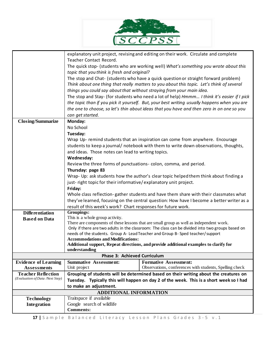

|                                                              |                                                                                           | explanatory unit project, revising and editing on their work. Circulate and complete             |  |  |  |
|--------------------------------------------------------------|-------------------------------------------------------------------------------------------|--------------------------------------------------------------------------------------------------|--|--|--|
|                                                              | Teacher Contact Record.                                                                   |                                                                                                  |  |  |  |
|                                                              | The quick stop- (students who are working well) What's something you wrote about this     |                                                                                                  |  |  |  |
|                                                              | topic that you think is fresh and original?                                               |                                                                                                  |  |  |  |
|                                                              | The stop and Chat- (students who have a quick question or straight forward problem)       |                                                                                                  |  |  |  |
|                                                              | Think about one thing that really matters to you about this topic. Let's think of several |                                                                                                  |  |  |  |
|                                                              | things you could say about that without straying from your main idea.                     |                                                                                                  |  |  |  |
|                                                              |                                                                                           | The stop and Stay- (for students who need a lot of help) Hmmm I think it's easier if I pick      |  |  |  |
|                                                              |                                                                                           | the topic than if you pick it yourself. But, your best writing usually happens when you are      |  |  |  |
|                                                              | the one to choose, so let's thin about ideas that you have and then zero in on one so you |                                                                                                  |  |  |  |
|                                                              | can get started.                                                                          |                                                                                                  |  |  |  |
| <b>Closing/Summarize</b>                                     | Monday:                                                                                   |                                                                                                  |  |  |  |
|                                                              | No School                                                                                 |                                                                                                  |  |  |  |
|                                                              | Tuesday:                                                                                  |                                                                                                  |  |  |  |
|                                                              | Wrap Up- remind students that an inspiration can come from anywhere. Encourage            |                                                                                                  |  |  |  |
|                                                              | students to keep a journal/ notebook with them to write down observations, thoughts,      |                                                                                                  |  |  |  |
|                                                              | and ideas. Those notes can lead to writing topics.                                        |                                                                                                  |  |  |  |
|                                                              | Wednesday:                                                                                |                                                                                                  |  |  |  |
|                                                              | Review the three forms of punctuations-colon, comma, and period.                          |                                                                                                  |  |  |  |
|                                                              | Thursday: page 83                                                                         |                                                                                                  |  |  |  |
|                                                              |                                                                                           | Wrap- Up: ask students how the author's clear topic helped them think about finding a            |  |  |  |
|                                                              | just-right topic for their informative/explanatory unit project.                          |                                                                                                  |  |  |  |
|                                                              | Friday:                                                                                   |                                                                                                  |  |  |  |
|                                                              | Whole class reflection-gather students and have them share with their classmates what     |                                                                                                  |  |  |  |
|                                                              | they've learned, focusing on the central question: How have I become a better writer as a |                                                                                                  |  |  |  |
|                                                              | result of this week's work? Chart responses for future work.                              |                                                                                                  |  |  |  |
| <b>Differentiation</b>                                       | Groupings:                                                                                |                                                                                                  |  |  |  |
| <b>Based on Data</b>                                         | This is a whole group activity.                                                           | There are components of these lessons that are small group as well as independent work.          |  |  |  |
|                                                              |                                                                                           | Only if there are two adults in the classroom: The class can be divided into two groups based on |  |  |  |
|                                                              |                                                                                           | needs of the students. Group A- Lead Teacher and Group B- Sped teacher/support                   |  |  |  |
|                                                              | <b>Accommodations and Modifications:</b>                                                  |                                                                                                  |  |  |  |
|                                                              |                                                                                           | Additional support, Repeat directions, and provide additional examples to clarify for            |  |  |  |
|                                                              | understanding                                                                             |                                                                                                  |  |  |  |
|                                                              | Phase 3: Achieved Curriculum                                                              |                                                                                                  |  |  |  |
| <b>Evidence of Learning</b>                                  | <b>Summative Assessment:</b><br>Unit project                                              | <b>Formative Assessment:</b>                                                                     |  |  |  |
| <b>Assessments</b>                                           |                                                                                           | Observations, conferences with students, Spelling check                                          |  |  |  |
| <b>Teacher Reflection</b><br>(Evaluation of Data /Next Step) |                                                                                           | Grouping of students will be determined based on their writing about the creatures on            |  |  |  |
|                                                              | Tuesday. Typically this will happen on day 2 of the week. This is a short week so I had   |                                                                                                  |  |  |  |
|                                                              | to make an adjustment.                                                                    |                                                                                                  |  |  |  |
|                                                              | <b>ADDITIONAL INFORMATION</b><br>Traitspace if available                                  |                                                                                                  |  |  |  |
| <b>Technology</b><br>Integration                             | Google search of wildlife                                                                 |                                                                                                  |  |  |  |
|                                                              | <b>Comments:</b>                                                                          |                                                                                                  |  |  |  |
|                                                              |                                                                                           |                                                                                                  |  |  |  |